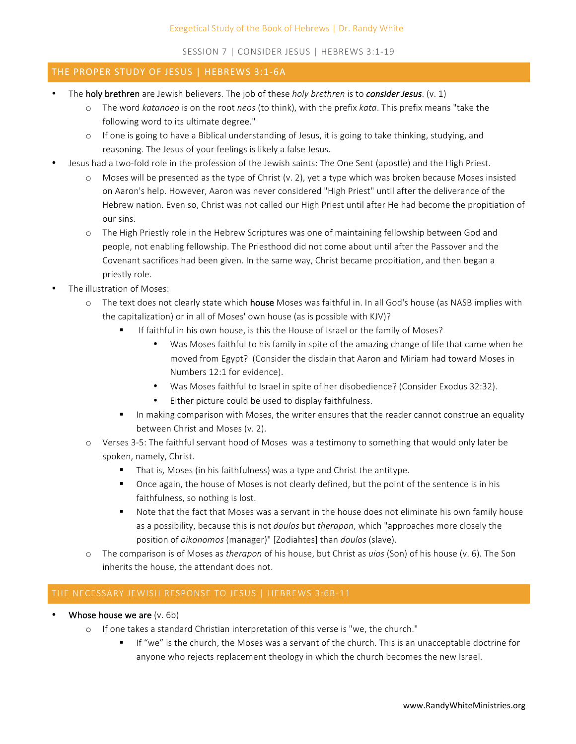SESSION 7 | CONSIDER JESUS | HEBREWS 3:1-19

## THE PROPER STUDY OF JESUS | HEBREWS 3:1-6A

- The **holy brethren** are Jewish believers. The job of these *holy brethren* is to *consider Jesus*. (v. 1)
	- o The word *katanoeo* is on the root *neos* (to think), with the prefix *kata*. This prefix means "take the following word to its ultimate degree."
	- $\circ$  If one is going to have a Biblical understanding of Jesus, it is going to take thinking, studying, and reasoning. The Jesus of your feelings is likely a false Jesus.
- Jesus had a two-fold role in the profession of the Jewish saints: The One Sent (apostle) and the High Priest.
	- $\circ$  Moses will be presented as the type of Christ (v. 2), yet a type which was broken because Moses insisted on Aaron's help. However, Aaron was never considered "High Priest" until after the deliverance of the Hebrew nation. Even so, Christ was not called our High Priest until after He had become the propitiation of our sins.
	- $\circ$  The High Priestly role in the Hebrew Scriptures was one of maintaining fellowship between God and people, not enabling fellowship. The Priesthood did not come about until after the Passover and the Covenant sacrifices had been given. In the same way, Christ became propitiation, and then began a priestly role.
- The illustration of Moses:
	- o The text does not clearly state which **house** Moses was faithful in. In all God's house (as NASB implies with the capitalization) or in all of Moses' own house (as is possible with KJV)?
		- If faithful in his own house, is this the House of Israel or the family of Moses?
			- Was Moses faithful to his family in spite of the amazing change of life that came when he moved from Egypt? (Consider the disdain that Aaron and Miriam had toward Moses in Numbers 12:1 for evidence).
			- Was Moses faithful to Israel in spite of her disobedience? (Consider Exodus 32:32).
			- Either picture could be used to display faithfulness.
		- In making comparison with Moses, the writer ensures that the reader cannot construe an equality between Christ and Moses (v. 2).
	- $\circ$  Verses 3-5: The faithful servant hood of Moses was a testimony to something that would only later be spoken, namely, Christ.
		- That is, Moses (in his faithfulness) was a type and Christ the antitype.
		- Once again, the house of Moses is not clearly defined, but the point of the sentence is in his faithfulness, so nothing is lost.
		- Note that the fact that Moses was a servant in the house does not eliminate his own family house as a possibility, because this is not *doulos* but *therapon*, which "approaches more closely the position of *oikonomos* (manager)" [Zodiahtes] than *doulos* (slave).
	- o The comparison is of Moses as *therapon* of his house, but Christ as *uios* (Son) of his house (v. 6). The Son inherits the house, the attendant does not.

- Whose house we are  $(v. 6b)$ 
	- $\circ$  If one takes a standard Christian interpretation of this verse is "we, the church."
		- If "we" is the church, the Moses was a servant of the church. This is an unacceptable doctrine for anyone who rejects replacement theology in which the church becomes the new Israel.